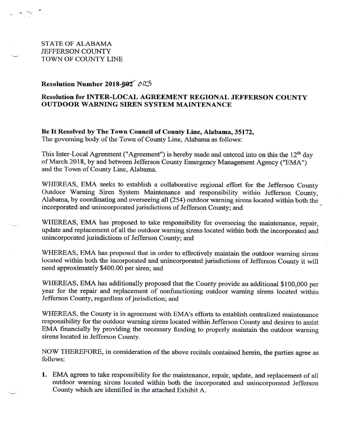**STATE OF ALABAMA** JEFFERSON COUNTY TOWN OF COUNTY LINE

## Resolution Number 2018-002 003

## Resolution for INTER-LOCAL AGREEMENT REGIONAL JEFFERSON COUNTY **OUTDOOR WARNING SIREN SYSTEM MAINTENANCE**

Be It Resolved by The Town Council of County Line, Alabama, 35172, The governing body of the Town of County Line, Alabama as follows:

This Inter-Local Agreement ("Agreement") is hereby made and entered into on this the 12<sup>th</sup> day of March 2018, by and between Jefferson County Emergency Management Agency ("EMA") and the Town of County Line, Alabama.

WHEREAS, EMA seeks to establish a collaborative regional effort for the Jefferson County Outdoor Warning Siren System Maintenance and responsibility within Jefferson County, Alabama, by coordinating and overseeing all (254) outdoor warning sirens located within both the incorporated and unincorporated jurisdictions of Jefferson County; and

WHEREAS, EMA has proposed to take responsibility for overseeing the maintenance, repair, update and replacement of all the outdoor warning sirens located within both the incorporated and unincorporated jurisdictions of Jefferson County; and

WHEREAS, EMA has proposed that in order to effectively maintain the outdoor warning sirens located within both the incorporated and unincorporated jurisdictions of Jefferson County it will need approximately \$400.00 per siren; and

WHEREAS, EMA has additionally proposed that the County provide an additional \$100,000 per year for the repair and replacement of nonfunctioning outdoor warning sirens located within Jefferson County, regardless of jurisdiction; and

WHEREAS, the County is in agreement with EMA's efforts to establish centralized maintenance responsibility for the outdoor warning sirens located within Jefferson County and desires to assist EMA financially by providing the necessary funding to properly maintain the outdoor warning sirens located in Jefferson County.

NOW THEREFORE, in consideration of the above recitals contained herein, the parties agree as follows:

1. EMA agrees to take responsibility for the maintenance, repair, update, and replacement of all outdoor warning sirens located within both the incorporated and unincorporated Jefferson County which are identified in the attached Exhibit A.